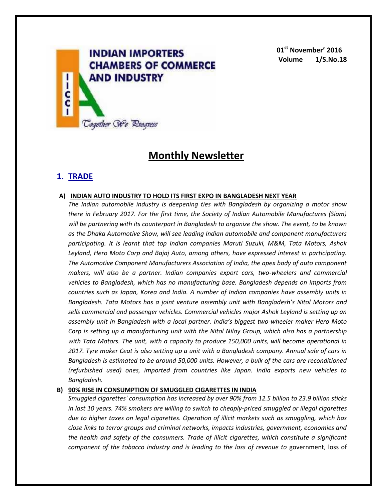

**01st November' 2016 Volume 1/S.No.18**

# **Monthly Newsletter**

## **1. TRADE**

#### **A) INDIAN AUTO INDUSTRY TO HOLD ITS FIRST EXPO IN BANGLADESH NEXT YEAR**

*The Indian automobile industry is deepening ties with Bangladesh by organizing a motor show there in February 2017. For the first time, the Society of Indian Automobile Manufactures (Siam) will be partnering with its counterpart in Bangladesh to organize the show. The event, to be known as the Dhaka Automotive Show, will see leading Indian automobile and component manufacturers participating. It is learnt that top Indian companies Maruti Suzuki, M&M, Tata Motors, Ashok Leyland, Hero Moto Corp and Bajaj Auto, among others, have expressed interest in participating. The Automotive Component Manufacturers Association of India, the apex body of auto component makers, will also be a partner. Indian companies export cars, two-wheelers and commercial vehicles to Bangladesh, which has no manufacturing base. Bangladesh depends on imports from countries such as Japan, Korea and India. A number of Indian companies have assembly units in Bangladesh. Tata Motors has a joint venture assembly unit with Bangladesh's Nitol Motors and sells commercial and passenger vehicles. Commercial vehicles major Ashok Leyland is setting up an assembly unit in Bangladesh with a local partner. India's biggest two-wheeler maker Hero Moto Corp is setting up a manufacturing unit with the Nitol Niloy Group, which also has a partnership with Tata Motors. The unit, with a capacity to produce 150,000 units, will become operational in 2017. Tyre maker Ceat is also setting up a unit with a Bangladesh company. Annual sale of cars in Bangladesh is estimated to be around 50,000 units. However, a bulk of the cars are reconditioned (refurbished used) ones, imported from countries like Japan. India exports new vehicles to Bangladesh.*

### **B) 90% RISE IN CONSUMPTION OF SMUGGLED CIGARETTES IN INDIA**

*Smuggled cigarettes' consumption has increased by over 90% from 12.5 billion to 23.9 billion sticks in last 10 years. 74% smokers are willing to switch to cheaply-priced smuggled or illegal cigarettes due to higher taxes on legal cigarettes. Operation of illicit markets such as smuggling, which has close links to terror groups and criminal networks, impacts industries, government, economies and the health and safety of the consumers. Trade of illicit cigarettes, which constitute a significant component of the tobacco industry and is leading to the loss of revenue to* government, loss of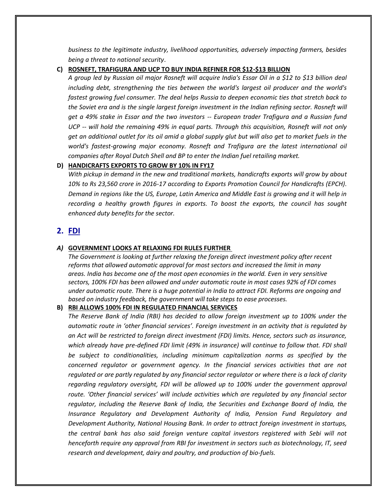*business to the legitimate industry, livelihood opportunities, adversely impacting farmers, besides being a threat to national security*.

**C) ROSNEFT, TRAFIGURA AND UCP TO BUY INDIA REFINER FOR \$12-\$13 BILLION**

*A group led by Russian oil major Rosneft will acquire India's Essar Oil in a \$12 to \$13 billion deal including debt, strengthening the ties between the world's largest oil producer and the world's fastest growing fuel consumer. The deal helps Russia to deepen economic ties that stretch back to the Soviet era and is the single largest foreign investment in the Indian refining sector. Rosneft will get a 49% stake in Essar and the two investors -- European trader Trafigura and a Russian fund UCP -- will hold the remaining 49% in equal parts. Through this acquisition, Rosneft will not only get an additional outlet for its oil amid a global supply glut but will also get to market fuels in the world's fastest-growing major economy. Rosneft and Trafigura are the latest international oil companies after Royal Dutch Shell and BP to enter the Indian fuel retailing market.*

#### **D) HANDICRAFTS EXPORTS TO GROW BY 10% IN FY17**

*With pickup in demand in the new and traditional markets, handicrafts exports will grow by about 10% to Rs 23,560 crore in 2016-17 according to Exports Promotion Council for Handicrafts (EPCH). Demand in regions like the US, Europe, Latin America and Middle East is growing and it will help in recording a healthy growth figures in exports. To boost the exports, the council has sought enhanced duty benefits for the sector.*

## **2. FDI**

#### *A)* **GOVERNMENT LOOKS AT RELAXING FDI RULES FURTHER**

*The Government is looking at further relaxing the foreign direct investment policy after recent reforms that allowed automatic approval for most sectors and increased the limit in many areas. India has become one of the most open economies in the world. Even in very sensitive sectors, 100% FDI has been allowed and under automatic route in most cases 92% of FDI comes under automatic route. There is a huge potential in India to attract FDI. Reforms are ongoing and based on industry feedback, the government will take steps to ease processes.*

#### **B) RBI ALLOWS 100% FDI IN REGULATED FINANCIAL SERVICES**

*The Reserve Bank of India (RBI) has decided to allow foreign investment up to 100% under the automatic route in 'other financial services'. Foreign investment in an activity that is regulated by an Act will be restricted to foreign direct investment (FDI) limits. Hence, sectors such as insurance, which already have pre-defined FDI limit (49% in insurance) will continue to follow that. FDI shall be subject to conditionalities, including minimum capitalization norms as specified by the concerned regulator or government agency. In the financial services activities that are not regulated or are partly regulated by any financial sector regulator or where there is a lack of clarity regarding regulatory oversight, FDI will be allowed up to 100% under the government approval route. 'Other financial services' will include activities which are regulated by any financial sector regulator, including the Reserve Bank of India, the Securities and Exchange Board of India, the Insurance Regulatory and Development Authority of India, Pension Fund Regulatory and Development Authority, National Housing Bank. In order to attract foreign investment in startups, the central bank has also said foreign venture capital investors registered with Sebi will not henceforth require any approval from RBI for investment in sectors such as biotechnology, IT, seed research and development, dairy and poultry, and production of bio-fuels.*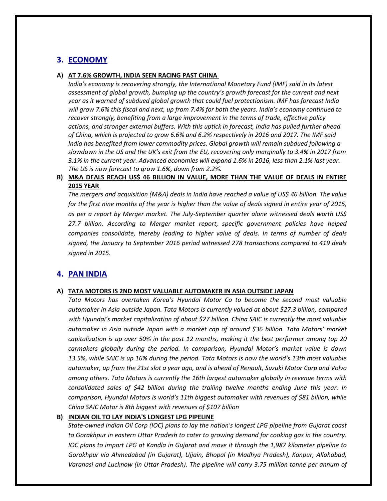## **3. ECONOMY**

#### **A) AT 7.6% GROWTH, INDIA SEEN RACING PAST CHINA**

*India's economy is recovering strongly, the International Monetary Fund (IMF) said in its latest assessment of global growth, bumping up the country's growth forecast for the current and next year as it warned of subdued global growth that could fuel protectionism. IMF has forecast India will grow 7.6% this fiscal and next, up from 7.4% for both the years. India's economy continued to recover strongly, benefiting from a large improvement in the terms of trade, effective policy actions, and stronger external buffers. With this uptick in forecast, India has pulled further ahead of China, which is projected to grow 6.6% and 6.2% respectively in 2016 and 2017. The IMF said India has benefited from lower commodity prices. Global growth will remain subdued following a slowdown in the US and the UK's exit from the EU, recovering only marginally to 3.4% in 2017 from 3.1% in the current year. Advanced economies will expand 1.6% in 2016, less than 2.1% last year. The US is now forecast to grow 1.6%, down from 2.2%.*

## **B) M&A DEALS REACH US\$ 46 BILLION IN VALUE, MORE THAN THE VALUE OF DEALS IN ENTIRE 2015 YEAR**

*The mergers and acquisition (M&A) deals in India have reached a value of US\$ 46 billion. The value for the first nine months of the year is higher than the value of deals signed in entire year of 2015, as per a report by Merger market. The July-September quarter alone witnessed deals worth US\$ 27.7 billion. According to Merger market report, specific government policies have helped companies consolidate, thereby leading to higher value of deals. In terms of number of deals signed, the January to September 2016 period witnessed 278 transactions compared to 419 deals signed in 2015.*

## **4. PAN INDIA**

#### **A) TATA MOTORS IS 2ND MOST VALUABLE AUTOMAKER IN ASIA OUTSIDE JAPAN**

*Tata Motors has overtaken Korea's Hyundai Motor Co to become the second most valuable automaker in Asia outside Japan. Tata Motors is currently valued at about \$27.3 billion, compared with Hyundai's market capitalization of about \$27 billion. China SAIC is currently the most valuable automaker in Asia outside Japan with a market cap of around \$36 billion. Tata Motors' market capitalization is up over 50% in the past 12 months, making it the best performer among top 20 carmakers globally during the period. In comparison, Hyundai Motor's market value is down 13.5%, while SAIC is up 16% during the period. Tata Motors is now the world's 13th most valuable automaker, up from the 21st slot a year ago, and is ahead of Renault, Suzuki Motor Corp and Volvo among others. Tata Motors is currently the 16th largest automaker globally in revenue terms with consolidated sales of \$42 billion during the trailing twelve months ending June this year. In comparison, Hyundai Motors is world's 11th biggest automaker with revenues of \$81 billion, while China SAIC Motor is 8th biggest with revenues of \$107 billion*

## **B) INDIAN OIL TO LAY INDIA'S LONGEST LPG PIPELINE**

*State-owned Indian Oil Corp (IOC) plans to lay the nation's longest LPG pipeline from Gujarat coast to Gorakhpur in eastern Uttar Pradesh to cater to growing demand for cooking gas in the country. IOC plans to import LPG at Kandla in Gujarat and move it through the 1,987 kilometer pipeline to Gorakhpur via Ahmedabad (in Gujarat), Ujjain, Bhopal (in Madhya Pradesh), Kanpur, Allahabad, Varanasi and Lucknow (in Uttar Pradesh). The pipeline will carry 3.75 million tonne per annum of*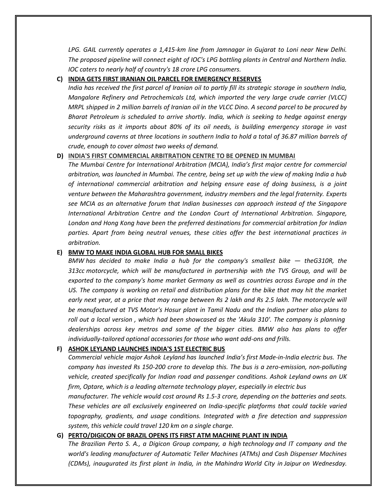*LPG. GAIL currently operates a 1,415-km line from Jamnagar in Gujarat to Loni near New Delhi. The proposed pipeline will connect eight of IOC's LPG bottling plants in Central and Northern India. IOC caters to nearly half of country's 18 crore LPG consumers.*

#### **C) INDIA GETS FIRST IRANIAN OIL PARCEL FOR EMERGENCY RESERVES**

*India has received the first parcel of Iranian oil to partly fill its strategic storage in southern India, Mangalore Refinery and Petrochemicals Ltd, which imported the very large crude carrier (VLCC) MRPL shipped in 2 million barrels of Iranian oil in the VLCC Dino. A second parcel to be procured by Bharat Petroleum is scheduled to arrive shortly. India, which is seeking to hedge against energy security risks as it imports about 80% of its oil needs, is building emergency storage in vast underground caverns at three locations in southern India to hold a total of 36.87 million barrels of crude, enough to cover almost two weeks of demand.*

## **D) INDIA'S FIRST COMMERCIAL ARBITRATION CENTRE TO BE OPENED IN MUMBAI**

*The Mumbai Centre for International Arbitration (MCIA), India's first major centre for commercial arbitration, was launched in Mumbai. The centre, being set up with the view of making India a hub of international commercial arbitration and helping ensure ease of doing business, is a joint venture between the Maharashtra government, industry members and the legal fraternity. Experts see MCIA as an alternative forum that Indian businesses can approach instead of the Singapore International Arbitration Centre and the London Court of International Arbitration. Singapore, London and Hong Kong have been the preferred destinations for commercial arbitration for Indian parties. Apart from being neutral venues, these cities offer the best international practices in arbitration.*

### **E) BMW TO MAKE INDIA GLOBAL HUB FOR SMALL BIKES**

*BMW has decided to make India a hub for the company's smallest bike — theG310R, the 313cc motorcycle, which will be manufactured in partnership with the TVS Group, and will be exported to the company's home market Germany as well as countries across Europe and in the US. The company is working on retail and distribution plans for the bike that may hit the market early next year, at a price that may range between Rs 2 lakh and Rs 2.5 lakh. The motorcycle will be manufactured at TVS Motor's Hosur plant in Tamil Nadu and the Indian partner also plans to roll out a local version , which had been showcased as the 'Akula 310'. The company is planning dealerships across key metros and some of the bigger cities. BMW also has plans to offer individually-tailored optional accessories for those who want add-ons and frills.*

#### **F) ASHOK LEYLAND LAUNCHES INDIA'S 1ST ELECTRIC BUS**

*Commercial vehicle major Ashok Leyland has launched India's first Made-in-India electric bus. The company has invested Rs 150-200 crore to develop this. The bus is a zero-emission, non-polluting vehicle, created specifically for Indian road and passenger conditions. Ashok Leyland owns an UK firm, Optare, which is a leading alternate technology player, especially in electric bus*

*manufacturer. The vehicle would cost around Rs 1.5-3 crore, depending on the batteries and seats. These vehicles are all exclusively engineered on India-specific platforms that could tackle varied topography, gradients, and usage conditions. Integrated with a fire detection and suppression system, this vehicle could travel 120 km on a single charge.*

#### **G) PERTO/DIGICON OF BRAZIL OPENS ITS FIRST ATM MACHINE PLANT IN INDIA**

*The Brazilian Perto S. A., a Digicon Group company, a high technology and IT company and the world's leading manufacturer of Automatic Teller Machines (ATMs) and Cash Dispenser Machines (CDMs), inaugurated its first plant in India, in the Mahindra World City in Jaipur on Wednesday.*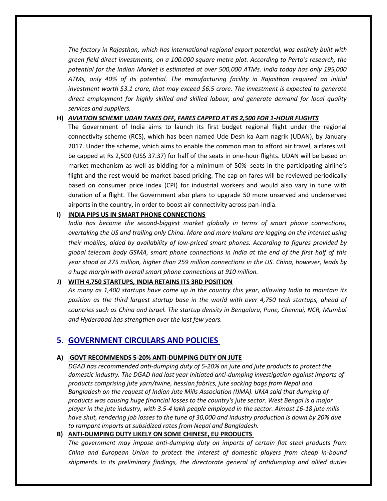*The factory in Rajasthan, which has international regional export potential, was entirely built with green field direct investments, on a 100.000 square metre plot. According to Perto's research, the potential for the Indian Market is estimated at over 500,000 ATMs. India today has only 195,000 ATMs, only 40% of its potential. The manufacturing facility in Rajasthan required an initial investment worth \$3.1 crore, that may exceed \$6.5 crore. The investment is expected to generate direct employment for highly skilled and skilled labour, and generate demand for local quality services and suppliers.*

## **H)** *AVIATION SCHEME UDAN TAKES OFF, FARES CAPPED AT RS 2,500 FOR 1-HOUR FLIGHTS*

The Government of India aims to launch its first budget regional flight under the regional connectivity scheme (RCS), which has been named Ude Desh ka Aam nagrik (UDAN), by January 2017. Under the scheme, which aims to enable the common man to afford air travel, airfares will be capped at Rs 2,500 (US\$ 37.37) for half of the seats in one-hour flights. UDAN will be based on market mechanism as well as bidding for a minimum of 50% seats in the participating airline's flight and the rest would be market-based pricing. The cap on fares will be reviewed periodically based on consumer price index (CPI) for industrial workers and would also vary in tune with duration of a flight. The Government also plans to upgrade 50 more unserved and underserved airports in the country, in order to boost air connectivity across pan-India.

## **I) INDIA PIPS US IN SMART PHONE CONNECTIONS**

*India has become the second-biggest market globally in terms of smart phone connections, overtaking the US and trailing only China. More and more Indians are logging on the internet using their mobiles, aided by availability of low-priced smart phones. According to figures provided by global telecom body GSMA, smart phone connections in India at the end of the first half of this year stood at 275 million, higher than 259 million connections in the US. China, however, leads by a huge margin with overall smart phone connections at 910 million.*

## **J) WITH 4,750 STARTUPS, INDIA RETAINS ITS 3RD POSITION**

*As many as 1,400 startups have come up in the country this year, allowing India to maintain its position as the third largest startup base in the world with over 4,750 tech startups, ahead of countries such as China and Israel. The startup density in Bengaluru, Pune, Chennai, NCR, Mumbai and Hyderabad has strengthen over the last few years.*

## **5. GOVERNMENT CIRCULARS AND POLICIES**

## **A) GOVT RECOMMENDS 5-20% ANTI-DUMPING DUTY ON JUTE**

*DGAD has recommended anti-dumping duty of 5-20% on jute and jute products to protect the domestic industry. The DGAD had last year initiated anti-dumping investigation against imports of products comprising jute yarn/twine, hessian fabrics, jute sacking bags from Nepal and Bangladesh on the request of Indian Jute Mills Association (IJMA). IJMA said that dumping of products was causing huge financial losses to the country's jute sector. West Bengal is a major player in the jute industry, with 3.5-4 lakh people employed in the sector. Almost 16-18 jute mills have shut, rendering job losses to the tune of 30,000 and industry production is down by 20% due to rampant imports at subsidized rates from Nepal and Bangladesh.*

## **B) ANTI-DUMPING DUTY LIKELY ON SOME CHINESE, EU PRODUCTS**

*The government may impose anti-dumping duty on imports of certain flat steel products from China and European Union to protect the interest of domestic players from cheap in-bound shipments. In its preliminary findings, the directorate general of antidumping and allied duties*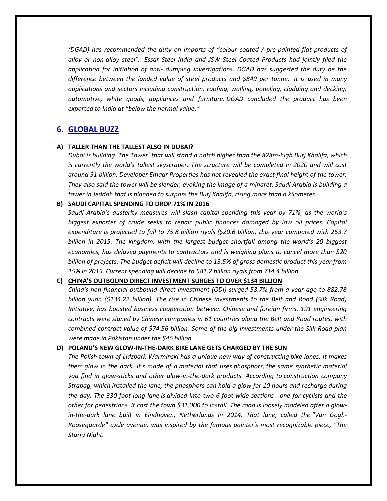*(DGAD) has recommended the duty on imports of "colour coated / pre-painted flat products of alloy or non-alloy steel". Essar Steel India and JSW Steel Coated Products had jointly filed the application for initiation of anti- dumping investigations. DGAD has suggested the duty be the difference between the landed value of steel products and \$849 per tonne. It is used in many applications and sectors including construction, roofing, walling, paneling, cladding and decking, automotive, white goods, appliances and furniture. DGAD concluded the product has been exported to India at "below the normal value."*

## **6. GLOBAL BUZZ**

## **A) TALLER THAN THE TALLEST ALSO IN DUBAI?**

*Dubai is building 'The Tower' that will stand a notch higher than the 828m-high Burj Khalifa, which is currently the world's tallest skyscraper. The structure will be completed in 2020 and will cost around \$1 billion. Developer Emaar Properties has not revealed the exact final height of the tower. They also said the tower will be slender, evoking the image of a minaret. Saudi Arabia is building a tower in Jeddah that is planned to surpass the Burj Khalifa, rising more than a kilometer.*

## **B) SAUDI CAPITAL SPENDING TO DROP 71% IN 2016**

*Saudi Arabia's austerity measures will slash capital spending this year by 71%, as the world's biggest exporter of crude seeks to repair public finances damaged by low oil prices. Capital expenditure is projected to fall to 75.8 billion riyals (\$20.6 billion) this year compared with 263.7 billion in 2015. The kingdom, with the largest budget shortfall among the world's 20 biggest economies, has delayed payments to contractors and is weighing plans to cancel more than \$20 billion of projects. The budget deficit will decline to 13.5% of gross domestic product this year from 15% in 2015. Current spending will decline to 581.2 billion riyals from 714.4 billion.*

## **C) CHINA'S OUTBOUND DIRECT INVESTMENT SURGES TO OVER \$134 BILLION**

*China's non-financial outbound direct investment (ODI) surged 53.7% from a year ago to 882.78 billion yuan (\$134.22 billion). The rise in Chinese investments to the Belt and Road (Silk Road) Initiative, has boosted business cooperation between Chinese and foreign firms. 191 engineering contracts were signed by Chinese companies in 61 countries along the Belt and Road routes, with combined contract value of \$74.56 billion. Some of the big investments under the Silk Road plan were made in Pakistan under the \$46 billion*

## **D) POLAND'S NEW GLOW-IN-THE-DARK BIKE LANE GETS CHARGED BY THE SUN**

*The Polish town of Lidzbark Warminski has a unique new way of constructing bike lanes: It makes them glow in the dark. It's made of a material that uses phosphors, the same synthetic material you find in glow-sticks and other glow-in-the-dark products. According to construction company Strabag, which installed the lane, the phosphors can hold a glow for 10 hours and recharge during the day. The 330-foot-long lane is divided into two 6-foot-wide sections - one for cyclists and the other for pedestrians. It cost the town \$31,000 to install. The road is loosely modeled after a glowin-the-dark lane built in Eindhoven, Netherlands in 2014. That lane, called the "Van Gogh-Roosegaarde" cycle avenue, was inspired by the famous painter's most recognizable piece, "The Starry Night.*